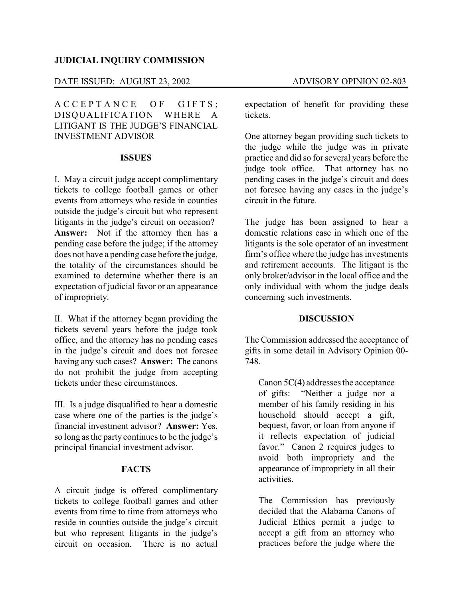## **JUDICIAL INQUIRY COMMISSION**

# DATE ISSUED: AUGUST 23, 2002 ADVISORY OPINION 02-803

A C C E P T A N C E O F G I F T S; DISQUALIFICATION WHERE A LITIGANT IS THE JUDGE'S FINANCIAL INVESTMENT ADVISOR

#### **ISSUES**

I. May a circuit judge accept complimentary tickets to college football games or other events from attorneys who reside in counties outside the judge's circuit but who represent litigants in the judge's circuit on occasion? **Answer:** Not if the attorney then has a pending case before the judge; if the attorney does not have a pending case before the judge, the totality of the circumstances should be examined to determine whether there is an expectation of judicial favor or an appearance of impropriety.

II. What if the attorney began providing the tickets several years before the judge took office, and the attorney has no pending cases in the judge's circuit and does not foresee having any such cases? **Answer:** The canons do not prohibit the judge from accepting tickets under these circumstances.

III. Is a judge disqualified to hear a domestic case where one of the parties is the judge's financial investment advisor? **Answer:** Yes, so long as the party continues to be the judge's principal financial investment advisor.

## **FACTS**

A circuit judge is offered complimentary tickets to college football games and other events from time to time from attorneys who reside in counties outside the judge's circuit but who represent litigants in the judge's circuit on occasion. There is no actual

expectation of benefit for providing these tickets.

One attorney began providing such tickets to the judge while the judge was in private practice and did so for several years before the<br>judge took office. That attorney has no That attorney has no pending cases in the judge's circuit and does not foresee having any cases in the judge's circuit in the future.

The judge has been assigned to hear a domestic relations case in which one of the litigants is the sole operator of an investment firm's office where the judge has investments and retirement accounts. The litigant is the only broker/advisor in the local office and the only individual with whom the judge deals concerning such investments.

#### **DISCUSSION**

The Commission addressed the acceptance of gifts in some detail in Advisory Opinion 00- 748.

Canon 5C(4) addresses the acceptance of gifts: "Neither a judge nor a member of his family residing in his household should accept a gift, bequest, favor, or loan from anyone if it reflects expectation of judicial favor." Canon 2 requires judges to avoid both impropriety and the appearance of impropriety in all their activities.

The Commission has previously decided that the Alabama Canons of Judicial Ethics permit a judge to accept a gift from an attorney who practices before the judge where the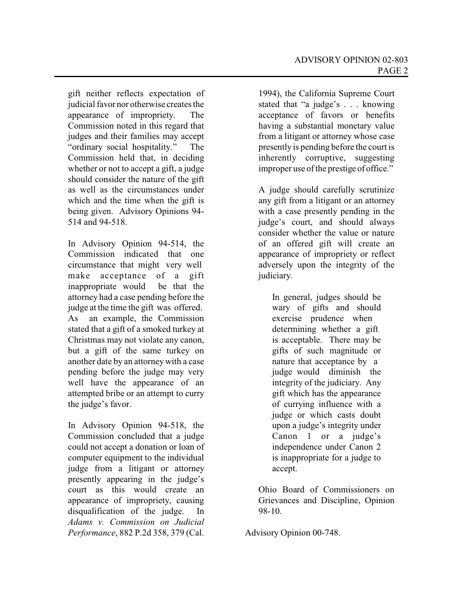gift neither reflects expectation of judicial favor nor otherwise creates the appearance of impropriety. The Commission noted in this regard that judges and their families may accept "ordinary social hospitality." The Commission held that, in deciding whether or not to accept a gift, a judge should consider the nature of the gift as well as the circumstances under which and the time when the gift is being given. Advisory Opinions 94- 514 and 94-518.

In Advisory Opinion 94-514, the Commission indicated that one circumstance that might very well make acceptance of a gift inappropriate would be that the attorney had a case pending before the judge at the time the gift was offered. As an example, the Commission stated that a gift of a smoked turkey at Christmas may not violate any canon, but a gift of the same turkey on another date by an attorneywith a case pending before the judge may very well have the appearance of an attempted bribe or an attempt to curry the judge's favor.

In Advisory Opinion 94-518, the Commission concluded that a judge could not accept a donation or loan of computer equipment to the individual judge from a litigant or attorney presently appearing in the judge's court as this would create an appearance of impropriety, causing disqualification of the judge. In *Adams v. Commission on Judicial Performance*, 882 P.2d 358, 379 (Cal.

1994), the California Supreme Court stated that "a judge's . . . knowing acceptance of favors or benefits having a substantial monetary value from a litigant or attorney whose case presently is pending before the court is inherently corruptive, suggesting improper use of the prestige of office."

A judge should carefully scrutinize any gift from a litigant or an attorney with a case presently pending in the judge's court, and should always consider whether the value or nature of an offered gift will create an appearance of impropriety or reflect adversely upon the integrity of the judiciary.

In general, judges should be wary of gifts and should exercise prudence when determining whether a gift is acceptable. There may be gifts of such magnitude or nature that acceptance by a judge would diminish the integrity of the judiciary. Any gift which has the appearance of currying influence with a judge or which casts doubt upon a judge's integrity under Canon 1 or a judge's independence under Canon 2 is inappropriate for a judge to accept.

Ohio Board of Commissioners on Grievances and Discipline, Opinion 98-10.

Advisory Opinion 00-748.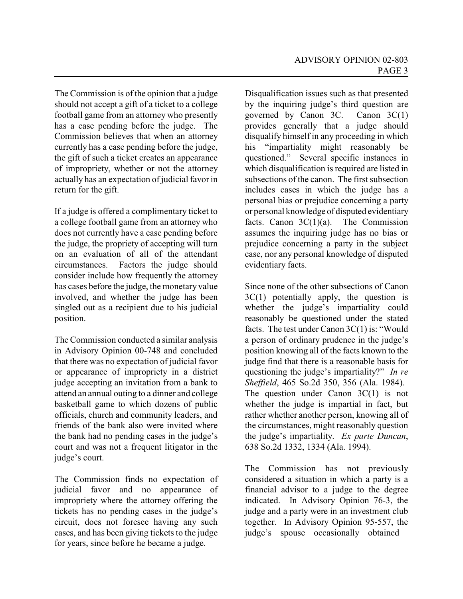The Commission is of the opinion that a judge should not accept a gift of a ticket to a college football game from an attorney who presently has a case pending before the judge. The Commission believes that when an attorney currently has a case pending before the judge, the gift of such a ticket creates an appearance of impropriety, whether or not the attorney actually has an expectation of judicial favor in return for the gift.

If a judge is offered a complimentary ticket to a college football game from an attorney who does not currently have a case pending before the judge, the propriety of accepting will turn on an evaluation of all of the attendant circumstances. Factors the judge should consider include how frequently the attorney has cases before the judge, the monetary value involved, and whether the judge has been singled out as a recipient due to his judicial position.

The Commission conducted a similar analysis in Advisory Opinion 00-748 and concluded that there was no expectation of judicial favor or appearance of impropriety in a district judge accepting an invitation from a bank to attend an annual outing to a dinner and college basketball game to which dozens of public officials, church and community leaders, and friends of the bank also were invited where the bank had no pending cases in the judge's court and was not a frequent litigator in the judge's court.

The Commission finds no expectation of judicial favor and no appearance of impropriety where the attorney offering the tickets has no pending cases in the judge's circuit, does not foresee having any such cases, and has been giving tickets to the judge for years, since before he became a judge.

Disqualification issues such as that presented by the inquiring judge's third question are governed by Canon 3C. Canon 3C(1) provides generally that a judge should disqualify himself in any proceeding in which his "impartiality might reasonably be questioned." Several specific instances in which disqualification is required are listed in subsections of the canon. The first subsection includes cases in which the judge has a personal bias or prejudice concerning a party or personal knowledge of disputed evidentiary facts. Canon  $3C(1)(a)$ . The Commission assumes the inquiring judge has no bias or prejudice concerning a party in the subject case, nor any personal knowledge of disputed evidentiary facts.

Since none of the other subsections of Canon  $3C(1)$  potentially apply, the question is whether the judge's impartiality could reasonably be questioned under the stated facts. The test under Canon 3C(1) is: "Would a person of ordinary prudence in the judge's position knowing all of the facts known to the judge find that there is a reasonable basis for questioning the judge's impartiality?" *In re Sheffield*, 465 So.2d 350, 356 (Ala. 1984). The question under Canon 3C(1) is not whether the judge is impartial in fact, but rather whether another person, knowing all of the circumstances, might reasonably question the judge's impartiality. *Ex parte Duncan*, 638 So.2d 1332, 1334 (Ala. 1994).

The Commission has not previously considered a situation in which a party is a financial advisor to a judge to the degree indicated. In Advisory Opinion 76-3, the judge and a party were in an investment club together. In Advisory Opinion 95-557, the judge's spouse occasionally obtained